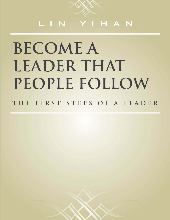# LIN YIHAN

# **BECOME A LEADER THAT** PEOPLE FOLLOW

## THE FIRST STEPS OF A LEADER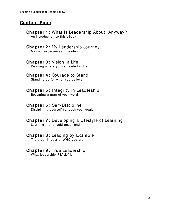## **Content Page**

**Chapter 1 :** What is Leadership About, Anyway? An introduction to this eBook

**Chapter 2 :** My Leadership Journey My own experiences in leadership

**Chapter 3 :** Vision in Life Knowing where you're headed in life

**Chapter 4 :** Courage to Stand Standing up for what you believe in

**Chapter 5: Integrity in Leadership** Becoming a man of your word

**Chapter 6** : Self-Discipline Disciplining yourself to reach your goals

**Chapter 7 :** Developing a Lifestyle of Learning Learning that should never end

**Chapter 8 :** Leading by Example

The great im pact of WHO you are

## **Chapter 9 :** True Leadership

What leadership REALLY is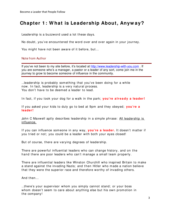## **Chapter 1 : W hat is Leadership About, Anyw ay?**

Leadership is a buzzword used a lot these days.

No doubt, you've encountered the word over and over again in your journey.

You might have not been aware of it before, but...

#### Note from Author

If you've not been to my site before, it's located at [http://www.leadership-with-you.com](http://www.leadership-with-you.com/) . If you are someone who's a manager, a pastor or a leader of any sort, come join me in the journey to grow to become someone of influence in the community.

…leadership is probably som ething that you've been doing for a while now. In fact, leadership is a very natural process. You don't have to be deem ed a leader to lead.

In fact, if you took your dog for a walk in the park; **you're already a leader!** 

If you asked your kids to duly go to bed at 9pm and they obeyed; you're a **leader!**

John C Maxwell aptly describes leadership in a sim ple phrase: All leadership is influence.

If you can influence someone in any way, **you're a leader.** It doesn't matter if you tried or not; you could be a leader with both your eyes closed!

But of course, there are varying degrees of leadership.

There are powerful influential leaders who can change history, and on the hand there are poor leaders who can't manage a small team properly.

There are influential leaders like Winston Churchill who inspired Britain to m ake a stand against the invading Nazis; and then Hitler who m ade a nation believe that they were the superior race and therefore worthy of invading others.

And then…

…there's your supervisor whom you sim ply cannot stand; or your boss whom doesn't seem to care about anything else but his own prom otion in the com pany!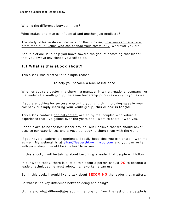What is the difference between them ?

What makes one man so influential and another just mediocre?

The study of leadership is precisely for this purpose; how you can become a great man of influence who can change your community, wherever you are.

And this eBook is to help you move toward the goal of becoming that leader that you always envisioned yourself to be.

#### **1 .1 W hat is this eBook about?**

This eBook was created for a sim ple reason;

To help you become a man of influence.

Whether you're a pastor in a church, a manager in a multi-national company, or the leader of a youth group, the same leadership principles apply to you as well.

If you are looking for success in growing your church, improving sales in your com pany or sim ply inspiring your youth group, **this eBook is for you**.

This eBook contains *original content* written by me, coupled with valuable experience that I've gained over the years and I want to share it with you.

I don't claim to be the best leader around, but I believe that we should never despise our experiences and always be ready to share them with the world.

If you have a leadership experience, I really hope that you can share it with me as well. My webmail is at [yihan@leadership-with-you.com and](mailto:yihan@leadership-with-you.com) you can write in with your story. I would love to hear from you.

In this eBook, I will be talking about becoming a leader that people will follow.

In our world today, there is a lot of talk about a person should **DO** to become a leader; techniques he must adopt, frameworks he can use...

But in this book, I would like to talk about **BECOMI NG** the leader that m atters.

So what is the key difference between doing and being?

Ultim ately, what differentiates you in the long run from the rest of the people is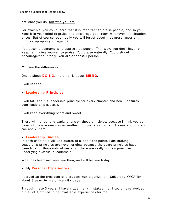not what you do, but who you are.

For exam ple, you could learn that it is im portant to praise people, and so you keep it in your mind to praise and encourage your team whenever the situation arises. But of course, eventually you will forget about it as m ore im portant things crop up in your agenda.

You become someone who appreciates people. That way, you don't have to keep rem inding yourself to praise. You praise naturally. You dish out encouragem ent freely. You are a thankful person.

You see the difference?

One is about **DOI NG**, the other is about **BEI NG**.

I will use the:

#### • **Leadership Principles**

I will talk about a leadership principle for every chapter and how it ensures your leadership success.

I will keep everything short and sweet.

There will not be long explanations on these principles; because I think you've heard of them in one way or another, but just short, succinct ideas and how you can apply them .

#### • **Leadership Quotes**

In each chapter, I will use quotes to support the points I am making. Leadership principles are never original because the same principles have been true for thousands of years; so there are really no new principles underlying success in leadership.

What has been said was true then, and will be true today.

#### • My **Personal Experiences**

I served as the president of a student-run organization, University-YMCA for about 3 years in my university days.

Through these 3 years, I have made many mistakes that I could have avoided, but all of it proved to be invaluable experiences for me.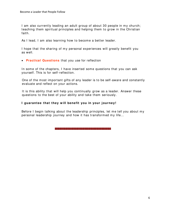I am also currently leading an adult group of about 30 people in my church; teaching them spiritual principles and helping them to grow in the Christian faith.

As I lead, I am also learning how to become a better leader.

I hope that the sharing of my personal experiences will greatly benefit you as well.

• **Practical Questions** that you use for reflection

In some of the chapters, I have inserted some questions that you can ask yourself. This is for self-reflection.

One of the most important gifts of any leader is to be self-aware and constantly evaluate and reflect on your actions.

It is this ability that will help you continually grow as a leader. Answer these questions to the best of your ability and take them seriously.

#### **I guarantee that they w ill benefit you in your journey!**

Before I begin talking about the leadership principles, let me tell you about my personal leadership journey and how it has transformed my life...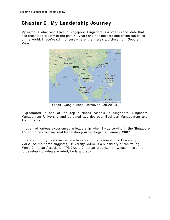## **Chapter 2 : My Leadership Journey**

My name is Yihan and I live in Singapore. Singapore is a small island state that has prospered greatly in the past 50 years and has become one of the top cities of the world. If you're still not sure where it is, here's a picture from Google Maps…



Credit: Google Maps (Retrieved Feb 2013)

I graduated in one of the top business schools in Singapore, Singapore Managem ent University and obtained two degrees: Business Managem ent and Accountancy.

I have had various experiences in leadership when I was serving in the Singapore Arm ed Forces, but my real leadership journey began in January 2007.

In late 2006, my peers invited me to serve in the leadership of University-YMCA. As the name suggests, University-YMCA is a subsidiary of the Young Men's Christian Association (YMCA), a Christian organization whose mission is to develop individuals in m ind, body and spirit.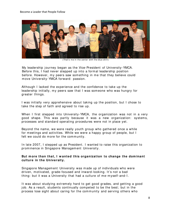

(That's me in the center with the blue shirt)

My leadership journey began as the Vice-President of University-YMCA. Before this, I had never stepped up into a form al leadership position before. However, my peers saw something in me that they believe could m ove University-YMCA forward: passion.

Although I lacked the experience and the confidence to take up the leadership initially, my peers saw that I was someone who was hungry for greater things.

I was initially very apprehensive about taking up the position, but I chose to take the step of faith and agreed to rise up.

When I first stepped into University-YMCA, the organization was not in a very good shape. This was partly because it was a new organization: system s, processes and standard operating procedures were not in place yet.

Beyond the name, we were really youth group who gathered once a while for meetings and activities. While we were a happy group of people, but I felt we could do more for the community.

In late 2007, I stepped up as President. I wanted to raise this organization to prom inence in Singapore Managem ent University.

#### **But m ore than that, I w anted this organization to change the dom inant culture in the University.**

Singapore Managem ent University was m ade up of individuals who were driven, motivated, grade-focused and inward-looking. It's not a bad thing: but it was a University that had a culture of me-myself-and-I.

It was about studying extremely hard to get good grades, and getting a good job. As a result, students continually com peted to be the best; but in the process lose sight about caring for the community and serving others who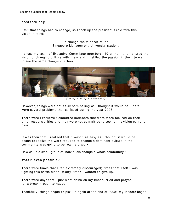need their help.

I felt that things had to change, so I took up the president's role with this vision in mind:

> To change the m indset of the Singapore Managem ent University student

I chose my team of Executive Committee members: 10 of them and I shared the vision of changing culture with them and I instilled the passion in them to want to see the same change in school.



(Sharing of the organizational vision)

However, things were not as sm ooth sailing as I thought it would be. There were several problems that surfaced during the year 2008.

There were Executive Committee members that were more focused on their other responsibilities and they were not com m itted to seeing this vision com e to pass.

It was then that I realized that it wasn't as easy as I thought it would be. I began to realize the work required to change a dom inant culture in the community was going to be real hard work.

How could a small group of individuals change a whole community?

#### **W as it even possible?**

There were times that I felt extremely discouraged; times that I felt I was fighting this battle alone; many times I wanted to give up.

There were days that I just went down on my knees, cried and prayed for a breakthrough to happen.

Thankfully, things began to pick up again at the end of 2008; my leaders began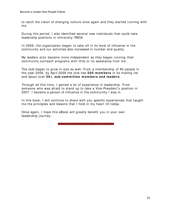to catch the vision of changing culture once again and they started running with m e.

During this period, I also identified several new individuals that could take leadership positions in University-YMCA.

In 2009, the organization began to take off in its level of influence in the community and our activities also increased in number and quality.

My leaders also became more independent as they began running their community outreach programs with little or no assistance from me.

The club began to grow in size as well. From a membership of 80 people in the year 2006, by April 2009 the club has **5 0 0 m em bers** in its m ailing list and about over **5 0 + sub- com m ittee m em bers and leaders**.

Through all this tim e, I gained a lot of experience in leadership. From som eone who was afraid to stand up to take a Vice-President's position in 2007, I became a person of influence in the community I was in.

In this book, I will continue to share with you specific experiences that taught me the principles and lessons that I hold in my heart till today.

Once again, I hope this eBook will greatly benefit you in your own leadership journey.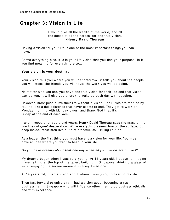## **Chapter 3 : Vision in Life**

I would give all the wealth of the world, and all the deeds of all the heroes, for one true vision. **- Henry David Thoreau**

Having a vision for your life is one of the most important things you can have.

Above everything else, it is in your life vision that you find your purpose; in it you find meaning for everything else...

#### **Your vision is your destiny.**

Your vision tells you where you will be tom orrow; it tells you about the people you will m eet; the friends you will have; the work you will be doing.

No m atter who you are, you have one true vision for their life and that vision excites you. It will give you energy to wake up each day with passion.

However, most people live their life without a vision. Their lives are marked by routine; like a dull existence that never seem s to end. They get to work on Monday morning with Monday blues; and thank God that it's Friday at the end of each week…

..and it repeats for years and years. Henry David Thoreau says the mass of men live lives of *quiet* desperation. While everything seems fine on the surface, but deep inside, most men live a life of dreadful, soul-killing routine.

As a leader, the first thing you m ust have is a vision for your life. You m ust have an idea where you want to head in your life.

*Do you have dream s about that one day when all your vision are fulfilled?*

My dreams began when I was very young. At 14 years old, I began to imagine m yself sitting at the top of the tallest building in Singapore; drinking a glass of wine; enjoying the serene moment with my loved one.

At 14 years old, I had a vision about where I was going to head in my life.

Then fast forward to university, I had a vision about becom ing a top businessman in Singapore who will influence other men to do business ethically and with excellence.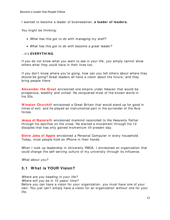I wanted to becom e a leader of businessm en, **a leader of leaders.**

You might be thinking:

- *What has this got to do with m anaging m y staff?*
- *What has this got to do with becom e a great leader?*

#### *…*it's **EVERYTHI NG**.

If you do not know what you want to see in your life; you simply cannot show others what they could have in their lives too.

If you don't know where you're going, how can you tell others about where they should be going? Great leaders all have a vision about the future; and they bring people there.

**Alexander the Great** envisioned one em pire under Heaven that would be prosperous, wealthy and united. He conquered m ost of the known world in his 30s.

**W inston Churchill** envisioned a Great Britain that would stand up for good in tim es of evil; and he played an instrum ental part in the surrender of the Axis forces.

**Jesus of Nazareth** envisioned mankind reconciled to His Heavenly Father through his sacrifice on the cross. He started a movement through his 12 disciples that has only gained momentum till present day.

**Steve Jobs of Apple** envisioned a Personal Computer in every household. Today, m ost people hold an iPhone in their hands.

When I took up leadership in University-YMCA, I envisioned an organization that could change the self-serving culture of my university through its influence.

*What about you?*

#### **3 .1 W hat is YOUR Vision?**

*Where are you heading in your life? Where will you be in 10 years' tim e?*

Before you can have a vision for your organization, you must have one of your own. You just can't sim ply have a vision for an organization without one for your life.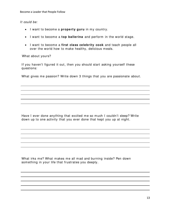*I t could be:*

- I want to become a **property guru** in my country.
- I want to becom e a **top ballerina** and perform in the world stage.
- I want to becom e a **first class celebrity cook** and teach people all over the world how to make healthy, delicious meals.

What about yours?

If you haven't figured it out, then you should start asking yourself these questions:

What gives me passion? Write down 3 things that you are passionate about.

Have I ever done anything that excited me so much I couldn't sleep? Write down up to one activity that you ever done that kept you up at night.

What irks me? What makes me all mad and burning inside? Pen down som ething in your life that frustrates you deeply.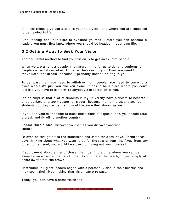All these things give you a clue to your true vision and where you are supposed to be headed in life.

Stop reading and take time to evaluate yourself. Before you can become a leader, you must first know where you should be headed in your own life.

#### **3 .2 Getting Aw ay to Seek Your Vision**

Another useful method to find your vision is to get away from people.

When we are am ongst people, the natural thing for us to do is to conform to people's expectations of us. If that is the case for you, then you need to reevaluate that dream , because it probably doesn't belong to you.

To get past that, you need to withdraw from people. You need to come to a place where it's just you and you alone. It has to be a place where you don't feel like you have to conform to anybody's expectation of you.

It's no surprise that a lot of students in my university have a dream to become a top banker, or a top investor, or trader. Because that is the usual place top students go, they decide that it would become their dream as well.

If you find yourself needing to meet these kinds of expectations, you should take a break and fly off to another country.

Spend tim e alone. Discover yourself as you discover another culture.

Or even better; go off to the mountains and camp for a few days. Spend these days thinking about what you want to do for the rest of your life. Away from any other hum an soul, you would be closer to finding out your true self.

If you cannot afford either of those, then just find a time where you can be alone for an extended period of time. It could be at the beach; or just simply at home away from the crowd.

Rem em ber, all great leaders began with a personal vision in their hearts; and they spent their lives making that vision came to pass.

Today, you can have a great vision too.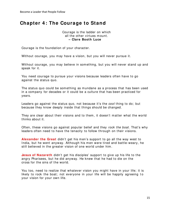## **Chapter 4 : The Courage to Stand**

Courage is the ladder on which all the other virtues mount. **– Clare Booth Luce**

Courage is the foundation of your character.

Without courage, you may have a vision, but you will never pursue it.

Without courage, you may believe in something, but you will never stand up and speak for it.

You need courage to pursue your visions because leaders often have to go against the status quo.

The status quo could be something as mundane as a process that has been used in a com pany for decades or it could be a culture that has been practiced for years.

Leaders go against the status quo, not because it's the *cool* thing to do; but because they know deeply inside that things should be changed.

They are clear about their visions and to them , it doesn't m atter what the world thinks about it.

Often, these visions go against popular belief and they *rock the boat*. That's why leaders often need to have the tenacity to follow through on their visions.

**Alexander the Great** didn't get his men's support to go all the way west to India, but he went anyway. Although his men were tired and battle-weary, he still believed in the greater vision of one world under him .

**Jesus of Nazareth** didn't get his disciples' support to give up his life to the angry Pharisees, but he did anyway. He knew that he had to die on the cross for the sins of the world.

You too, need to realize that whatever vision you m ight have in your life; it is likely to rock the boat; not everyone in your life will be happily agreeing to your vision for your own life.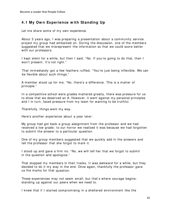#### **4 .1 My Ow n Experience w ith Standing Up**

Let me share some of my own experience.

About 3 years ago, I was preparing a presentation about a community service project my group had embarked on. During the discussion, one of the members suggested that we misrepresent the information so that we could score better with our professors.

I kept silent for a while, but then I said, "No. If you're going to do that, then I won't present. It's not right."

That immediately got a few feathers ruffled. "You're just being inflexible. We can be flexible about such things."

A member stood up for me, "No, there's a difference. This is a matter of principle."

In a competitive school were grades mattered greatly, there was pressure for us to show that we deserved an A. However, it went against my personal principles and I in turn, faced pressure from my team for wanting to be truthful.

Thankfully, things went my way.

Here's another experience about a year later:

My group had got back a group assignm ent from the professor and we had received a low grade; to our horror we realized it was because we had forgotten to subm it the answer to a particular question.

One of my group members suggested that we quickly add in the answers and tell the professor that she forgot to m ark it.

I stood up and gave a firm no. "No, we will tell her that we forgot to submit in the question and apologize."

That stopped my members in their tracks. It was awkward for a while, but they decided to do it my way in the end. Once again, thankfully the professor gave us the m arks for that question.

These experiences may not seem small; but that's where courage begins: standing up against our peers when we need to.

I knew that if I started compromising in a sheltered environment like the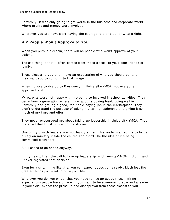university, it was only going to get worse in the business and corporate world where profits and money were involved.

Wherever you are now, start having the courage to stand up for what's right.

#### **4 .2 People W on't Approve of You**

When you pursue a dream , there will be people who won't approve of your actions.

The sad thing is that it often com es from those closest to you: your friends or fam ily.

Those closest to you often have an expectation of who you should be, and they want you to conform to that im age.

When I chose to rise up to Presidency in University-YMCA, not everyone approved of it.

My parents were not happy with me being so involved in school activities. They cam e from a generation where it was about studying hard, doing well in university and getting a good, reputable paying job in the m arketplace. They didn't understand the purpose of taking me taking leadership and giving it so much of my time and effort.

They never encouraged me about taking up leadership in University-YMCA. They preferred that I just do well in my studies.

One of my church leaders was not happy either. This leader wanted me to focus purely on ministry inside the church and didn't like the idea of me being com m itted elsewhere.

But I chose to go ahead anyway.

In my heart, I felt the call to take up leadership in University-YMCA. I did it, and I never regretted that decision.

Even for a sm all thing like this, you can expect opposition already. Much less the greater things you want to do in your life.

Whatever you do, remember that you need to rise up above these limiting expectations people have on you. If you want to be someone notable and a leader in your field, expect the pressure and disapproval from those closest to you.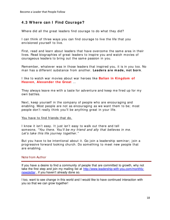#### **4 .3 W here can I Find Courage?**

Where did all the great leaders find courage to do what they did?

I can think of three ways you can find courage to live the life that you envisioned yourself to live.

First, read and learn about leaders that have overcome the same area in their lives. Read biographies of great leaders to inspire you and watch movies of courageous leaders to bring out the same passion in you.

Rem em ber, whatever was in those leaders that inspired you, it is in you too. No m an has a different substance from another. **Leaders are m ade, not born**.

I like to watch war m ovies about war heroes like **Balian in Kingdom of Heaven**, **Alexander the Great** …

They always leave me with a taste for adventure and keep me fired up for my own battles.

Next, keep yourself in the company of people who are encouraging and enabling. Most people are not as encouraging as we want them to be; m ost people don't really think you'll be anything great in your life.

#### You have to find friends that do.

I know it isn't easy. It just isn't easy to walk out there and tell som eone, *"You there. You'll be m y friend and ally that believes in m e. Let's take this life journey together."* 

But you have to be intentional about it. Go join a leadership sem inar; join a progressive forward looking church. Do som ething to m eet new people that are enabling.

#### Note from Author

If you have a desire to find a community of people that are committed to growth, why not take the first step and join my mailing list at [http://www.leadership-with-you.com/monthly](http://www.leadership-with-you.com/monthly-newsletter)[newsletter](http://www.leadership-with-you.com/monthly-newsletter) , if you haven't already done so.

I too, want to see change in this world and I would like to have continued interaction with you so that we can grow together!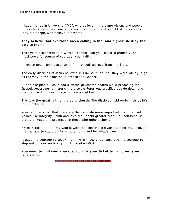I have friends in University-YMCA who believe in the same vision, and people in my church who are constantly encouraging and edifying. Most importantly, they are people who believe in dream s.

#### **They believe that everyone has a calling in life; and a great destiny that aw aits them** .

Thirdly; this is somewhere where I cannot lead you, but it is probably the m ost powerful source of courage: your faith.

I'll share about an illustration of faith-based courage from the Bible:

The early disciples of Jesus believed in Him so much that they were willing to go all the way to their deaths to preach the Gospel.

All the disciples of Jesus had suffered gruesome deaths while preaching the Gospel. According to history, the disciple Peter was crucified upside down and the disciple John was lowered into a pot of boiling oil.

This was the great faith of the early church. The disciples held on to their beliefs to their deaths.

Your faith tells you that there are things in life more important than life itself. Values like integrity, truth and love are upheld greater than life itself because a greater reward is promised to those who uphold them.

My faith tells me that my God is with me; that He is always behind me. It gives me courage to stand up for what's right; and for what's true.

It gave me courage to speak my mind in those situations; and the courage to step out to take leadership in University-YMCA.

**You need to find your courage, for it is your ticket to living out your true vision.**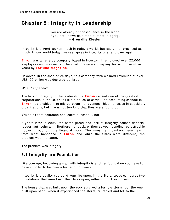## **Chapter 5 : I ntegrity in Leadership**

You are already of consequence in the world if you are known as a man of strict integrity. **– Grenville Klesier**

Integrity is a word spoken much in today's world, but sadly, not practiced as much. In our world today, we see lapses in integrity over and over again.

**Enron** was an energy company based in Houston. It employed over 22,000 em ployees and was nam ed the m ost innovative com pany for six consecutive years by **Fortune Magazine**.

However, in the span of 24 days, this company with claimed revenues of over US\$100 billion was declared bankrupt.

*What happened?*

The lack of integrity in the leadership of **Enron** caused one of the greatest corporations in the US to fall like a house of cards. The accounting scandal in **Enron** had enabled it to misrepresent its revenues, hide its losses in subsidiary organizations, but it was not too long that they were found out.

You think that someone has learnt a lesson... not.

7 years later in 2008, the same greed and lack of integrity caused financial juggernaut Lehm ann Brothers to declare them selves, sending catastrophic ripples throughout the financial world. The investment bankers never learnt from what happened in **Enron** and while the tim es were different, the problem was the sam e.

The problem was integrity.

#### **5 .1 I ntegrity is a Foundation**

Like courage, becoming a man with integrity is another foundation you have to have in order to become a leader of influence.

Integrity is a quality you build your life upon. In the Bible, Jesus compares two foundations that men build their lives upon, either on rock or on sand.

The house that was built upon the rock survived a terrible storm , but the one built upon sand, when it experienced the storm , crum bled and fell to the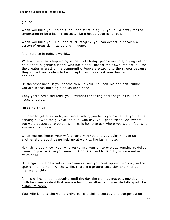ground.

When you build your corporation upon strict integrity, you build a way for the corporation to be a lasting success, like a house upon solid rock.

When you build your life upon strict integrity, you can expect to become a person of great significance and influence.

And more so in today's world...

With all the events happening in the world today, people are truly crying out for an authentic, genuine leader who has a heart not for their own interest, but for the greater interest of the community. People are taking to the streets because they know their leaders to be corrupt men who speak one thing and do another.

On the other hand, if you choose to build your life upon lies and half-truths; you are in fact, building a house upon sand.

Many years down the road, you'll witness the falling apart of your life like a house of cards.

#### **I m agine this:**

In order to get away with your secret affair, you lie to your wife that you're just hanging out with the guys at the pub. One day, your good friend Ken (whom you were supposed to be out with) calls home to ask where you were. Your wife answers the phone.

When you get home, your wife checks with you and you quickly make up another story about being held up at work at the last minute.

Next thing you know, your wife walks into your office one day wanting to deliver dinner to you because you were working late; and finds out you were not in office at all.

Once again, she dem ands an explanation and you cook up another story in the spur of the moment. All the while, there is a greater suspicion and mistrust in the relationship.

All this will continue happening until the day the truth comes out, one day the truth becom es evident that you are having an affair; and your life falls apart like a stack of cards.

Your wife is hurt; she wants a divorce; she claims custody and compensation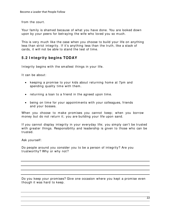from the court.

Your family is shamed because of what you have done. You are looked down upon by your peers for betraying the wife who loved you so much.

This is very much like the case when you choose to build your life on anything less than strict integrity. If it's anything less than the truth, like a stack of cards, it will not be able to stand the test of tim e.

#### **5 .2 I ntegrity begins TODAY**

Integrity begins with the smallest things in your life.

It can be about:

- keeping a promise to your kids about returning home at 7pm and spending quality time with them.
- returning a loan to a friend in the agreed upon tim e.
- being on time for your appointments with your colleagues, friends and your bosses.

When you choose to make promises you cannot keep; when you borrow m oney but do not return it; you are building your life upon sand.

If you cannot display integrity in your everyday life; you simply can't be trusted with greater things. Responsibility and leadership is given to those who can be trusted.

Ask yourself:

Do people around you consider you to be a person of integrity? Are you trustworthy? Why or why not?

Do you keep your promises? Give one occasion where you kept a promise even though it was hard to keep.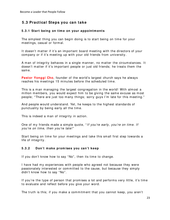#### **5 .3 Practical Steps you can take**

#### **5 .3 .1 Start being on tim e on your appointm ents**

The simplest thing you can begin doing is to start being on time for your m eetings, casual or form al.

It doesn't matter if it's an important board meeting with the directors of your com pany or if it's m eeting up with your old friends from university.

A man of integrity behaves in a single manner, no matter the circumstances. It doesn't m atter if it's im portant people or just old friends; he treats them the sam e.

**Pastor Yonggi Cho**, founder of the world's largest church says he always reaches his meetings 15 minutes before the scheduled time.

This is a man managing the largest congregation in the world! With almost a million members, you would expect him to be giving the same excuse as most people; "There are just too many things; sorry guys I'm late for this meeting."

And people would understand. Yet, he keeps to the highest standards of punctuality by being early all the tim e.

This is indeed a man of integrity in action.

One of my friends made a simple quote, "*If you're early, you're on time. If you're on tim e, then you're late!"*

Start being on time for your meetings and take this small first step towards a life of integrity.

#### **5 .3 .2 Don't m ake prom ises you can't keep**

If you don't know how to say "No", then its time to change.

I have had my experiences with people who agreed not because they were passionately interested or committed to the cause, but because they simply didn't know how to say "No".

If you're the type of person that promises a lot and performs very little, it's time to evaluate and reflect before you give your word.

The truth is this; if you make a commitment that you cannot keep, you aren't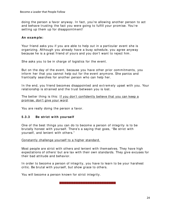doing the person a favor anyway. In fact, you're allowing another person to act and behave trusting the fact you were going to fulfill your prom ise. You're setting up them up for disappointment!

#### **An exam ple:**

Your friend asks you if you are able to help out in a particular event she is organizing. Although you already have a busy schedule, you agree anyway because he is a great friend of yours and you don't want to reject him .

She asks you to be in charge of logistics for the event.

But on the day of the event, because you have other prior commitments, you inform her that you cannot help out for the event anym ore. She panics and frantically searches for another person who can help her.

In the end, you friend becomes disappointed and extremely upset with you. Your relationship is strained and the trust between you is lost.

The better thing is this: If you don't confidently believe that you can keep a prom ise, don't give your word.

You are really doing the person a favor.

#### **5 .3 .3 Be strict w ith yourself**

One of the best things you can do to become a person of integrity is to be brutally honest with yourself. There's a saying that goes, "Be strict with yourself, and lenient with others."

Constantly challenge yourself to a higher standard.

Most people are strict with others and lenient with them selves. They have high expectations of others' but are lax with their own standards. They give excuses for their bad attitude and behavior.

In order to become a person of integrity, you have to learn to be your harshest critic. Be brutal with yourself, but show grace to others.

You will become a person known for strict integrity.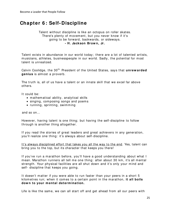## **Chapter 6 : Self- Discipline**

Talent without discipline is like an octopus on roller skates. There's plenty of movement, but you never know if it's going to be forward, backwards, or sideways. **- H. Jackson Brow n, Jr.**

Talent exists in abundance in our world today; there are a lot of talented artists, m usicians, athletes, businesspeople in our world. Sadly, the potential for m ost talent is unrealized.

Calvin Coolidge, the 30<sup>th</sup> President of the United States, says that **unrew arded genius** is alm ost a proverb.

The truth is, all of us have a talent or an innate skill that we excel far above others.

It could be:

- m athem atical ability, analytical skills
- singing, composing songs and poems
- running, sprinting, swimming

and so on…

However, having talent is one thing; but having the self-discipline to follow through is another thing altogether.

If you read the stories of great leaders and great achievers in any generation, you'll realize one thing: it's always about self-discipline.

It's always disciplined effort that takes you all the way to the end. Yes, talent can bring you to the top, but its character that keeps you there!

If you've run a marathon before, you'll have a good understanding about what I mean. Marathon runners all tell me one thing: after about 30 km, it's all mental strength. Your physical facilities are all shut down and it's only your mind and self- discipline that keeps you going.

It doesn't matter if you were able to run faster than your peers in a short 5 kilom etres run; when it com es to a certain point in the m arathon, **it all boils dow n to your m ental determ ination.**

Life is like the same, we can all start off and get ahead from all our peers with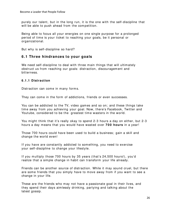purely our talent, but in the long run, it is the one with the self-discipline that will be able to push ahead from the competition.

Being able to focus all your energies on one single purpose for a prolonged period of tim e is your ticket to reaching your goals, be it personal or organizational.

But why is self-discipline so hard?

#### **6 .1 Three hindrances to your goals**

We need self-discipline to deal with three main things that will ultimately obstruct us from reaching our goals: distraction, discouragem ent and bitterness.

#### **6 .1 .1 Distraction**

Distraction can come in many forms.

They can come in the form of addictions, friends or even successes.

You can be addicted to the TV, video games and so on; and these things take tim e away from you achieving your goal. Now, there's Facebook, Twitter and Youtube, considered to be the greatest time wasters in the world.

You might think that it's really okay to spend 2-3 hours a day on either, but 2-3 hours a day m eans that you would have wasted over **7 0 0 hours** in a year!

Those 700 hours could have been used to build a business; gain a skill and change the world even!

If you have are constantly addicted to something, you need to exercise your self-discipline to change your lifestyle.

If you multiply those 700 hours by 35 years (that's 24,500 hours!), you'd realize that a simple change in habit can transform your life already.

Friends can be another source of distraction. While it may sound cruel, but there are some friends that you simply have to move away from if you want to see a change in your life.

These are the friends who may not have a passionate goal in their lives, and they spend their days aim lessly drinking, partying and talking about the latest gossip.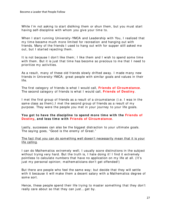While I'm not asking to start disliking them or shun them, but you must start having self-discipline with whom you give your time to.

When I start running University-YMCA and Leadership with You, I realized that my time became much more limited for recreation and hanging out with friends. Many of the friends I used to hang out with for supper still asked me out, but I started rejecting them .

It is not because I don't like them; I like them and I wish to spend some time with them. But it is just that time has become so precious to me that I need to prioritize my activities.

As a result, many of these old friends slowly drifted away. I made many new friends in University-YMCA; great people with sim ilar goals and values in their life.

The first category of friends is what I would call, **Friends of Circum stance**. The second category of friends is what I would call, **Friends of Destiny**.

I m et the first group of friends as a result of a circum stance (i.e. I was in the same class as them); I met the second group of friends as a result of my purpose. They were the people you met in your journey to your life goals.

#### **You got to have the discipline to spend m ore tim e w ith the Friends of Destiny, and less tim e w ith Friends of Circum stance**.

Lastly, successes can also be the biggest distraction to your ultim ate goals. The saying goes, "Good is the enemy of Great."

#### The fact that you can do som ething well doesn't necessarily m ean that it is your life calling.

I can do Mathem atics extrem ely well; I usually score distinctions in the subject without trying very hard. But the truth is, I hate doing it! I find it extremely pointless to calculate numbers that have no application on my life at all. (It's just my personal opinion; mathematicians don't get offended!)

But there are people who feel the same way; but decide that they will settle with it because it will m ake them a decent salary with a Mathem atics degree of som e sort.

Hence, these people spend their life trying to master som ething that they don't really care about so that they can just… get by.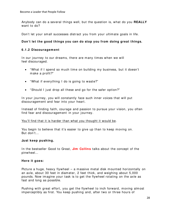Anybody can do a several things well, but the question is, what do you **REALLY** want to do?

Don't let your small successes distract you from your ultim ate goals in life.

#### **Don't let the good things you can do stop you from doing great things.**

#### **6 .1 .2 Discouragem ent**

In our journey to our dreams, there are many times when we will feel discouraged.

- "What if I spend so much time on building my business, but it doesn't m ake a profit?"
- "What if everything I do is going to waste?"
- "Should I just drop all these and go for the safer option?"

In your journey, you will constantly face such inner voices that will put discouragem ent and fear into your heart.

Instead of finding faith, courage and passion to pursue your vision, you often find fear and discouragem ent in your journey.

#### You'll find that it is harder than what you thought it would be.

You begin to believe that it's easier to give up than to keep moving on. But don't…

#### **Just keep pushing.**

In the bestseller Good to Great, **Jim Collins** talks about the concept of the pinwheel…

#### **Here it goes:**

Picture a huge, heavy flywheel – a massive m etal disk m ounted horizontally on an axle, about 30 feet in diam eter, 2 feet thick, and weighing about 5,000 pounds. Now im agine your task is to get the flywheel rotating on the axle as fast and long as possible.

Pushing with great effort, you get the flywheel to inch forward, moving almost im perceptibly as first. You keep pushing and, after two or three hours of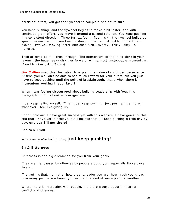persistent effort, you get the flywheel to com plete one entire turn.

You keep pushing, and the flywheel begins to m ove a bit faster, and with continued great effort, you move it around a second rotation. You keep pushing in a consistent direction. Three turns… four … five … six… the flywheel builds up speed... seven... eight... you keep pushing... nine..ten... it builds momentum... eleven… twelve… m oving faster with each turn… twenty… thirty… fifty… a hundred.

Then at some point - breakthrough! The momentum of the thing kicks in your favour... the huge heavy disk flies forward, with almost unstoppable momentum. (Good to Great, Jim Collins)

**Jim Collins** used this illustration to explain the value of continued persistence. At first, you wouldn't be able to see m uch reward for your effort, but you just have to keep pushing until the point of breakthrough, that's when there is m om entum working in your favor!

When I was feeling discouraged about building Leadership with You, this paragraph from his book encourages me.

I just keep telling m yself, "Yihan, just keep pushing; just push a little m ore," whenever I feel like giving up.

I don't proclaim I have great success yet with this website, I have goals for this site that I have yet to achieve, but I believe that if I keep pushing a little day by day, **one day I 'll get there**!

And so will you.

Whatever you're facing now**, just keep pushing!**

#### **6 .1 .3 Bitterness**

Bitterness is one big distraction for you from your goals.

They are first caused by offences by people around you; especially those close to you.

The truth is that, no matter how great a leader you are; how much you know; how many people you know, you will be offended at some point or another.

Where there is interaction with people, there are always opportunities for conflict and offences.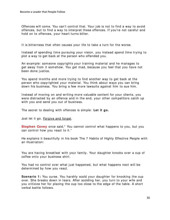Offences will com e. You can't control that. Your job is not to find a way to avoid offences, but to find a way to interpret these offences. If you're not careful and hold on to offences, your heart turns bitter.

It is bitterness that often causes your life to take a turn for the worse.

Instead of spending time pursuing your vision, you instead spend time trying to plot a way to get back at the person who offended you.

An example: someone copyrights your training material and he manages to get away from it somehow. You get mad, because you feel that you have not been done justice.

You spend months and more trying to find another way to get back at the person who copyrighted your m aterial. You think about ways you can bring down his business. You bring a few m ore lawsuits against him to sue him .

Instead of moving on and writing more valuable content for your clients, you were distracted by an offence and in the end, your other com petitors catch up with you and send you out of business.

The secret to dealing with offences is sim ple: **Let it go.**

Just let it go. Forgive and forget.

**Stephen Covey** once said," You cannot control what happens to you, but you can control how you react to it."

He explains it beautifully in his book The 7 Habits of Highly Effective People with an illustration:

You are having breakfast with your fam ily. Your daughter knocks over a cup of coffee onto your business shirt.

You had no control over what just happened, but what happens next will be determ ined by how you react.

**Scenario 1:** You curse. You harshly scold your daughter for knocking the cup over. She breaks down in tears. After scolding her, you turn to your wife and you criticize her for placing the cup too close to the edge of the table. A short verbal battle follows.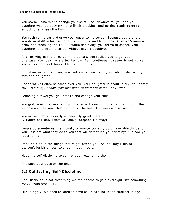You storm upstairs and change your shirt. Back downstairs, you find your daughter was too busy crying to finish breakfast and getting ready to go to school. She misses the bus.

You rush to the car and drive your daughter to school. Because you are late, you drive at 40 miles per hour in a 30mph speed limit zone. After a 15 minute delay and throwing the \$60.00 traffic fine away, you arrive at school. Your daughter runs into the school without saying goodbye.

After arriving at the office 20 minutes late, you realize you forgot your briefcase. Your day has started terrible. As it continues, it seems to get worse and worse. You look forward to coming home.

But when you come home, you find a small wedge in your relationship with your wife and daughter.

**Scenario 2:** Coffee splashes over you. Your daughter is about to cry. You gently say: *"I t's okay, honey, you just need to be m ore careful next tim e."*

Grabbing a towel you go upstairs and change your shirt.

You grab your briefcase, and you come back down in time to look through the window and see your child getting on the bus. She turns and waves.

You arrive 5 minutes early a cheerfully greet the staff. (7 Habits of Highly Effective People, Stephen R Covey)

People do sometimes intentionally or unintentionally, do unfavorable things to you. It is not what they do to you that will determine your destiny; it is how you react to them .

Don't hold on to the things that might offend you. As the Holy Bible tell us, don't let bitterness take root in your heart.

Have the self-discipline to control your reaction to them .

And keep your eyes on the prize.

#### **6 .2 Cultivating Self- Discipline**

Self-Discipline is not something we can choose to gain overnight; it's something we cultivate over time.

Like integrity, we need to learn to have self-discipline in the sm allest things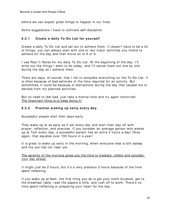before we can expect great things to happen in our lives.

Some suggestions I have to cultivate self-discipline:

#### **6 .2 .1 Create a daily To- Do List for yourself**

Create a daily To-Do List and set out to achieve them. It doesn't have to be a lot of things; you can always start with one or two m ajor activities you intend to achieve for the day and then move on to 5 or 6.

I use Post-It Notes for my daily To-Do List. At the beginning of the day, I'll write out the things I want to do today, and I'll cancel them out one by one during the day as I achieve them .

There are days, of course, that I fail to com plete everything on the To-Do List; it is often because of bad estimate of the time required for an activity. But sometimes, it could be because of distractions during the day that caused me to deviate from my planned activities.

But no need to feel bad, just take a mental note and try again tomorrow! The important thing is to keep doing it!

#### **6 .2 .2 Practice w aking up early every day.**

Successful people start their days early.

They wake up at as early as 5 am every day and start their day off with prayer, reflection, and exercise. If you consider an average person who wakes up at 7am every day, a successful person has an extra 2 hours a day! Once again, that equates over 700 hours in a year!

It is great to wake up early in the morning, when everyone else is still asleep and the sun has not risen yet.

The serenity of the morning gives you the time to mediate, reflect and consider your day ahead.

It might just be 2 hours, but it's a very precious 2 hours because of the time spent reflecting.

If you wake up at 8am, the first thing you do is get your tooth brushed, get to the breakfast table, read the papers a little, and rush off to work. There's no time spent reflecting or preparing your heart for the day.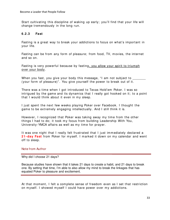Start cultivating this discipline of waking up early; you'll find that your life will change trem endously in the long run.

#### **6 .2 .3 Fast**

Fasting is a great way to break your addictions to focus on what's im portant in your life.

Fasting can be from any form of pleasure; from food, TV, m ovies, the internet and so on.

Fasting is very powerful because by fasting, you allow your spirit to trium ph over your body.

When you fast, you give your body this message, "I am not subject to (your form of pleasure)". You give yourself the power to break out of it.

There was a time when I got introduced to Texas Hold'em Poker. I was so intrigued by the game and its dynamics that I really got hooked on it; to a point that I would think about it even in my sleep.

I just spent the next few weeks playing Poker over Facebook. I thought the game to be extremely engaging intellectually. And I still think it is.

However, I recognized that Poker was taking away my time from the other things I had to do; it took my focus from building Leadership With You, University-YMCA affairs as well as my time for prayer.

It was one night that I really felt frustrated that I just immediately declared a **2 1 - day Fast** from Poker for m yself. I m arked it down on m y calendar and went off to sleep.

#### Note from Author

Why did I choose 21 days?

Because studies have shown that it takes 21 days to create a habit, and 21 days to break one. By setting that time, I'm able to also allow my mind to break the linkages that has equated Poker to pleasure and excitement.

At that moment, I felt a complete sense of freedom even as I set that restriction on myself. I showed myself I could have power over my addictions.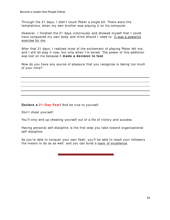Through the 21 days, I didn't touch Poker a single bit. There were the temptations, when my own brother was playing it on his computer.

However, I finished the 21 days victoriously and showed myself that I could have conquered my own body and mind should I need to. It was a powerful exercise for me.

After that 21 days, I realized most of the excitement of playing Poker left me, and I still do play it now, but only when I'm bored. The power of this addiction was lost on m e because **I m ade a decision to fast**.

Now do you have any source of pleasure that you recognize is taking too much of your tim e?

**Declare a 2 1 - Day Fast!** And be true to yourself.

Don't cheat yourself.

You'll only end up cheating yourself out of a life of victory and success.

Having personal self-discipline is the first step you take toward organizational self-discipline.

As you're able to conquer your own flesh, you'll be able to teach your followers the m eans to do so as well; and you can build a team of excellence.

34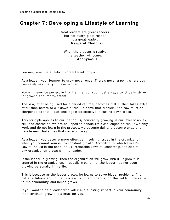## **Chapter 7 : Developing a Lifestyle of Learning**

Great leaders are great readers. But not every great reader is a great leader. - **Margaret Thatcher**

When the student is ready, the teacher will com e. - **Anonym ous**

Learning must be a lifelong commitment for you.

As a leader, your journey to grow never ends. There's never a point where you can safely say that you have arrived.

You will never be perfect in this lifetime, but you must always continually strive for growth and improvement.

The saw, after being used for a period of time, becomes dull. It then takes extra effort than before to cut down a tree. To solve that problem, the saw must be sharpened so that it can once again be effective in cutting down trees.

This principle applies to our life too. By constantly growing in our level of ability, skill and character, we are equipped to handle life's challenges better. If we only work and do not learn in the process, we become dull and become unable to handle new challenges that come our way.

As a leader, you become more effective in solving issues in the organization when you commit yourself to constant growth. According to John Maxwell's Law of the Lid in the book the 21 Irrefutable Laws of Leadership, the size of any organization grows with its leader.

If the leader is growing, then the organization will grow with it. If growth is stunted in the organization, it usually means that the leader has not been growing personally in his life.

This is because as the leader grows, he learns to solve bigger problem s, find better solutions and in that process, build an organization that adds m ore value to the community and hence grows.

If you want to be a leader who will make a lasting impact in your community, then continual growth is a must for you.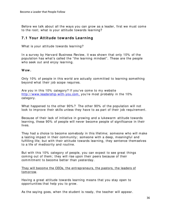Before we talk about all the ways you can grow as a leader, first we must come to the root; what is your attitude towards learning?

#### **7 .1 Your Attitude tow ards Learning**

What is your attitude towards learning?

In a survey by Harvard Business Review, it was shown that only 10% of the population has what's called the "the learning m indset". These are the people who seek out and enjoy learning.

#### **W ow .**

Only 10% of people in this world are actually committed to learning something beyond what their job scope requires.

Are you in this 10% category? If you've come to my website http://www.leadership-with-you.com, you're most probably in the 10% category.

What happened to the other 90% ? The other 90% of the population will not look to improve their skills unless they have to as part of their job requirement.

Because of their lack of initiative in growing and a lukewarm attitude towards learning, these 90% of people will never become people of significance in their lives.

They had a choice to become somebody in this lifetime; someone who will make a lasting impact in their community; someone with a deep, meaningful and fulfilling life; but with their attitude towards learning, they sentence them selves to a life of m ediocrity and routine.

But with this 10% category of people, you can expect to see great things com ing out of them ; they will rise upon their peers because of their commitment to become better than yesterday.

They will become the CEOs, the entrepreneurs, the pastors, the leaders of tom orrow.

Having a great attitude towards learning m eans that you stay open to opportunities that help you to grow.

As the saying goes, when the student is ready, the teacher will appear.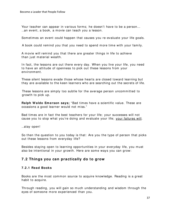Your teacher can appear in various forms; he doesn't have to be a person... …an event, a book, a m ovie can teach you a lesson.

Som etim es an event could happen that causes you re-evaluate your life goals.

A book could remind you that you need to spend more time with your family.

A m ovie will rem ind you that there are greater things in life to achieve than just m aterial wealth.

In fact, the lessons are out there every day. When you live your life, you need to have an attitude of openness to pick out these lessons from your environm ent.

These silent lessons evade those whose hearts are closed toward learning but they are available to the keen learners who are searching out the secrets of life.

These lessons are simply too subtle for the average person uncommitted to growth to pick up.

**Ralph W aldo Em erson says;** "Bad times have a scientific value. These are occasions a good learner would not miss."

Bad tim es are in fact the best teachers for your life; your successes will not cause you to stop what you're doing and evaluate your life; your failures will.

…stay open!

So then the question to you today is that: Are you the type of person that picks out these lessons from everyday life?

Besides staying open to learning opportunities in your everyday life, you m ust also be intentional in your growth. Here are some ways you can grow:

#### **7 .2 Things you can practically do to grow**

#### **7 .2 .1 Read Books**

Books are the most common source to acquire knowledge. Reading is a great habit to acquire.

Through reading, you will gain so m uch understanding and wisdom through the eyes of som eone m ore experienced than you.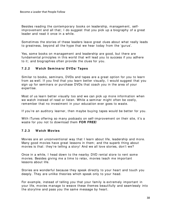Besides reading the contemporary books on leadership, management, selfim provem ent and all that; I do suggest that you pick up a biography of a great leader and read it once in a while.

Som etim es the stories of these leaders leave great clues about what really leads to greatness, beyond all the hype that we hear today from the 'gurus'.

Yes, some books on management and leadership are good, but there are fundam ental principles in this world that will lead you to success if you adhere to it; and biographies often provide the clues for you.

#### **7 .2 .2 W atch Sem inars/ DVDs/ Tapes**

Sim ilar to books, sem inars, DVDs and tapes are a great option for you to learn from as well. If you find that you learn better visually, I would suggest that you sign up for seminars or purchase DVDs that coach you in the area of your expertise.

Most of us learn better visually too and we can pick up more information when we watch instead of read or listen. While a seminar might often be costly, rem ember that no investment in your education ever goes to waste.

If you're an auditory learner, then maybe buying tapes would be better for you.

With iTunes offering so many podcasts on self-improvement on their site, it's a waste for you not to download them **FOR FREE**!

#### **7 .2 .3 W atch Movies**

Movies are an unconventional way that I learn about life, leadership and m ore. Many good movies have great lessons in them; and the superb thing about movies is that: they're telling a story! And we all love stories, don't we?

Once in a while, I head down to the nearby DVD rental store to rent som e movies. Besides giving me a time to relax, movies teach me important lessons about life.

Stories are wonderful because they speak directly to your heart and touch you deeply. They are unlike theories which speak only to your head.

For example, instead of telling you that your family is extremely important in your life, m ovies m anage to weave these them es beautifully and seam lessly into the storyline and pass you the same message by heart.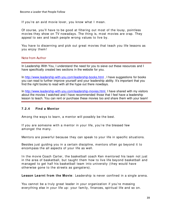If you're an avid movie lover, you know what I mean.

Of course, you'll have to be good at filtering out m ost of the lousy, pointless m ovies they show on TV nowadays. The thing is, m ost movies are crap. They appeal to sex and teach people wrong values to live by.

You have to discerning and pick out great movies that teach you life lessons as you enjoy them !

#### Note from Author

In Leadership With You, I understand the need for you to sieve out these resources and I have specifically created two sections in the website for you.

In <http://www.leadership-with-you.com/leadership-books.html> , I have suggestions for books you can read to further improve yourself and your leadership ability. It's important that you find the right books to read with all the hype out there nowdays.

In [http://www.leadership-with-you.com/leadership-movies.html,](http://www.leadership-with-you.com/leadership-movies.html) I have shared with my visitors about the movies I watched and I have recommended those that I feel have a leadership lesson to teach. You can rent or purchase these movies too and share them with your team!

#### **7 .2 .4 Find a Mentor**

Among the ways to learn, a mentor will possibly be the best.

If you are someone with a mentor in your life, you're the blessed few am ongst the m any.

Mentors are powerful because they can speak to your life in specific situations.

Besides just guiding you in a certain discipline, m entors often go beyond it to encom pass the all aspects of your life as well.

In the movie Coach Carter, the basketball coach Ken mentored his team not just in the area of basketball, but taught them how to live life beyond basketball and m anaged to get half his basketball team into university (they would have otherwise gone to the streets as gangsters).

**Lesson Learnt from the Movie**: Leadership is never confined in a single arena.

You cannot be a truly great leader in your organization if you're messing everything else in your life up: your fam ily, finances, spiritual life and so on.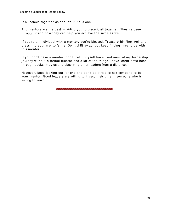It all comes together as one. Your life is one.

And mentors are the best in aiding you to piece it all together. They've been through it and now they can help you achieve the same as well.

If you're an individual with a mentor, you're blessed. Treasure him/her well and press into your mentor's life. Don't drift away, but keep finding time to be with this m entor.

If you don't have a mentor, don't fret. I myself have lived most of my leadership journey without a formal mentor and a lot of the things I have learnt have been through books, m ovies and observing other leaders from a distance.

However, keep looking out for one and don't be afraid to ask someone to be your mentor. Good leaders are willing to invest their time in someone who is willing to learn.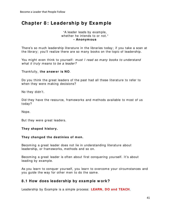## **Chapter 8 : Leadership by Exam ple**

#### "[A leader leads by exam ple,](http://thinkexist.com/quotation/a_leader_leads_by_example-whether_he_intends_to/327915.html) whether he intends [to or not.](http://thinkexist.com/quotation/a_leader_leads_by_example-whether_he_intends_to/327915.html)" **- Anonym ous**

There's so much leadership literature in the libraries today; if you take a scan at the library; you'll realize there are so m any books on the topic of leadership.

You m ight even think to yourself: *m ust I read so m any books to understand what it truly m eans to be a leader?*

Thankfully, **the answ er is NO**.

Do you think the great leaders of the past had all these literature to refer to when they were making decisions?

No they didn't.

Did they have the resource, frameworks and methods available to most of us today?

Nope.

But they were great leaders.

#### **They shaped history.**

#### **They changed the destinies of m en.**

Becom ing a great leader does not lie in understanding literature about leadership, or fram eworks, m ethods and so on.

Becoming a great leader is often about first conquering yourself. It's about leading by example.

As you learn to conquer yourself, you learn to overcome your circumstances and you guide the way for other men to do the same.

#### **8 .1 How does leadership by exam ple w ork?**

Leadership by Exam ple is a sim ple process: **LEARN , DO and TEACH**.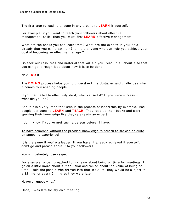The first step to leading anyone in any area is to **LEARN** it yourself.

For exam ple, if you want to teach your followers about effective m anagem ent skills; then you m ust first **LEARN** effective m anagem ent.

What are the books you can learn from ? What are the experts in your field already that you can draw from? Is there anyone who can help you achieve your goal of becoming an effective manager?

Go seek out resources and m aterial that will aid you; read up all about it so that you can get a rough idea about how it is to be done.

Next, **DO** it.

The **DOI NG** process helps you to understand the obstacles and challenges when it com es to m anaging people.

If you had failed to effectively do it, what caused it? If you were successful, what did you do?

And this is a very im portant step in the process of leadership by exam ple. Most people just want to **LEARN** and **TEACH**. They read up their books and start spewing their knowledge like they're already an expert.

I don't know if you've met such a person before; I have.

```
To have someone without the practical knowledge to preach to me can be quite
an annoying experience!
```
It is the same if you're a leader. If you haven't already achieved it yourself, don't go and preach about it to your followers.

You will definitely lose respect.

For example, once I preached to my team about being on time for meetings. I go on a little m ore about it than usual and talked about the value of being on tim e. I told the people who arrived late that in future, they would be subject to a \$2 fine for every 5 minutes they were late.

However guess what?

Once, I was late for my own meeting.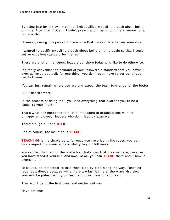By being late for my own meeting, I disqualified myself to preach about being on time. After that incident, I didn't preach about being on time anymore for a few m onths.

However, during this period, I made sure that I wasn't late for any meetings.

I wanted to qualify myself to preach about being on time again so that I could set an excellent standard for the team.

There are a lot of managers, leaders out there today who like to do otherwise.

It's really convenient to dem and of your followers a standard that you haven't even achieved yourself; for one thing, you don't even have to get out of your com fort zone.

You can just remain where you are and expect the team to change for the better

But it doesn't work.

In the process of doing that, you lose everything that qualifies you to be a leader to your team .

That's what has happened to a lot of m anagers in organizations with its unhappy employees: leaders who don't lead by example.

Therefore, go out and **DO** it.

And of course, the last step is **TEACH**.

**TEACHING** is the simple part; for once you have learnt the ropes, you can easily impart the same skills or ability to your followers.

You can tell them about the obstacles, challenges that they will face, because you have faced it yourself. And m ost of all, you can **TEACH** them about how to overcom e it!

Of course, do rem em ber to take them step-by-step along the way. Teaching requires patience because while there are fast learners, there are also slow learners. Be patient with your team and give them time to learn.

They won't get it the first time, and neither did you.

Have patience.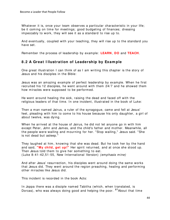Whatever it is, once your team observes a particular characteristic in your life; be it coming on time for meetings; good budgeting of finances; dressing im peccably to work, they will see it as a standard to rise up to.

And eventually, coupled with your teaching, they will rise up to the standard you have set.

Rem em ber the process of leadership by exam ple: **LEARN**, **DO** and **TEACH**.

#### **8 .2 A Great I llustration of Leadership by Exam ple**

One great illustration I can think of as I am writing this chapter is the story of Jesus and his disciples in the Bible:

Jesus was an am azing exam ple of perfect leadership by exam ple. When he first recruited his 12 disciples, he went around with them 24/7 and he showed them how miracles were supposed to be performed.

He went around healing the sick, raising the dead and faced off with the religious leaders of that time. In one incident, illustrated in the book of Luke:

Then a man named Jairus, a ruler of the synagogue, came and fell at Jesus' feet, pleading with him to come to his house because his only daughter, a girl of about twelve, was dying.

When he arrived at the house of Jairus, he did not let anyone go in with him except Peter, John and James, and the child's father and mother. Meanwhile, all the people were wailing and mourning for her. "Stop wailing," Jesus said. "She is not dead but asleep."

They laughed at him, knowing that she was dead. But he took her by the hand and said, **"My child, get up!"** Her spirit returned, and at once she stood up. Then Jesus told them to give her som ething to eat. (Luke 8: 41-42,51-55, New I nternational Version) *(em phasis m ine)*

And after Jesus' resurrection, his disciples went around doing the same works that Jesus did. They went around the region preaching, healing and perform ing other m iracles like Jesus did.

This incident is recorded in the book Acts:

In Joppa there was a disciple named Tabitha (which, when translated, is Dorcas), who was always doing good and helping the poor. <sup>37</sup>About that time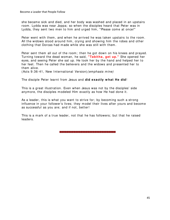she becam e sick and died, and her body was washed and placed in an upstairs room . Lydda was near Joppa; so when the disciples heard that Peter was in Lydda, they sent two men to him and urged him, "Please come at once!"

Peter went with them, and when he arrived he was taken upstairs to the room. All the widows stood around him, crying and showing him the robes and other clothing that Dorcas had m ade while she was still with them .

Peter sent them all out of the room; then he got down on his knees and prayed. Turning toward the dead wom an, he said, **"Tabitha, get up."** She opened her eyes, and seeing Peter she sat up. He took her by the hand and helped her to her feet. Then he called the believers and the widows and presented her to them alive.

(Acts 9: 36-41, New I nternational Version)*(em phasis m ine)*

The disciple Peter learnt from Jesus and **did exactly w hat He did**!

This is a great illustration. Even when Jesus was not by the disciples' side anym ore, the disciples m odeled Him exactly as how He had done it.

As a leader, this is what you want to strive for; by becom ing such a strong influence in your follower's lives; they model their lives after yours and become as successful as you are; and if not, better!

This is a mark of a true leader, not that he has followers; but that he raised leaders.

45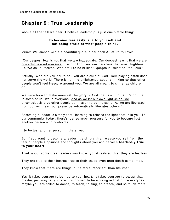## **Chapter 9 : True Leadership**

Above all the talk we hear, I believe leadership is just one simple thing:

#### **To becom e fearlessly true to yourself and not being afraid of w hat people think.**

Miriam William son wrote a beautiful quote in her book A Return to Love:

"Our deepest fear is not that we are inadequate. Our deepest fear is that we are powerful beyond measure. It is our light, not our darkness that most frightens us. We ask ourselves, Who am I to be brilliant, gorgeous, talented, fabulous?

Actually, who are you *not* to be? You are a child of God. Your playing small does not serve the world. There is nothing enlightened about shrinking so that other people won't feel insecure around you. We are all m eant to shine, as children do.

We were born to make manifest the glory of God that is within us. It's not just in som e of us; it's in everyone. And as we let our own light shine, we unconsciously give other people perm ission to do the sam e**.** As we are liberated from our own fear, our presence autom atically liberates others."

Becoming a leader is simply that: learning to release the light that is in you. In our community today, there's just so much pressure for you to become just another person who conform s.

…to be just another person in the street.

But if you want to becom e a leader, it's sim ply this: release yourself from the fear of people's opinions and thoughts about you and becom e **fearlessly true to your heart**.

Think about some great leaders you know; you'd realized this: they are fearless.

They are true to their hearts; true to their cause even unto death som etim es.

They know that there are things in life more important than life itself.

Yes, it takes courage to be true to your heart. I t takes courage to accept that m aybe, just m aybe; you aren't supposed to be working in that office everyday, maybe you are called to dance, to teach, to sing, to preach, and so much more.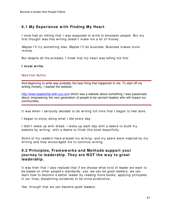#### **9 .1 My Experience w ith Finding My Heart**

I once had an inkling that I was supposed to write to empower people. But my first thought was that writing doesn't make me a lot of money.

Maybe I 'll try som ething else. Maybe I 'll do business. Business m akes m ore m oney.

But despite all the protests, I knew that my heart was telling me this:

#### **I m ust w rite.**

#### Note from Author

And beginning to write was probably the best thing that happened to me. To start off my writing ministry, I started the website:

[http://www.leadership-with-you.com](http://www.leadership-with-you.com/) which was a website about something I was passionate about: empowering the next generation of people to be servant leaders who will impact our communities.

It was when I seriously decided to do writing full time that I began to feel alive.

I began to enjoy doing what I did every day.

I didn't wake up with dread. I woke up each day with a desire to build my website by writing; with a desire to finish this book beautifully.

Some of my readers have praised my writing; and my peers were inspired by my writing and they encouraged me to continue writing.

#### **9 .2 Principles, Fram ew orks and Methods support your journey to leadership. They are NOT the w ay to great leadership.**

It was then that I also realized that if we choose what kind of leader we want to be based on other people's standards; yes, we can be good leaders; we can learn how to become a better leader by reading more books, applying principles in our lives, disciplining ourselves to be m ore productive.

Yes, through that we can become good leaders.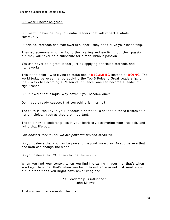But we will never be great.

But we will never be truly influential leaders that will impact a whole com m unity.

Principles, m ethods and fram eworks support, they don't drive your leadership.

They aid som eone who has found their calling and are living out their passion but they will never be a substitute for a man without passion.

You can never be a great leader just by applying principles methods and fram eworks.

This is the point I was trying to m ake about **BECOMI NG** instead of **DOI NG**. The world today believes that by applying the Top 5 Rules to Great Leadership, or the 7 Ways to Becoming a Person of Influence, one can become a leader of significance.

But if it were that simple, why haven't you become one?

Don't you already suspect that something is missing?

The truth is, the key to your leadership potential is neither in these fram eworks nor principles, m uch as they are im portant.

The true key to leadership lies in your fearlessly discovering your true self, and living that life out.

*Our deepest fear is that we are powerful beyond m easure.*

Do you believe that you can be powerful beyond measure? Do you believe that one man can change the world?

Do you believe that YOU can change the world?

When you find your center; when you find the calling in your life; that's when you begin to shine; that's when you begin to influence in not just sm all ways; but in proportions you m ight have never im agined.

> "All leadership is influence." - John Maxwell

That's when true leadership begins.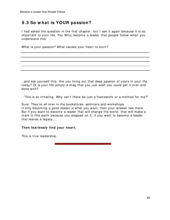## **9 .3 So w hat is YOUR passion?**

I had asked the question in the first chapter; but I ask it again because it is so important to your life. You WILL become a leader that people follow when you understand this:

What is your passion? What causes your heart to burn?

…and ask yourself this: Are you living out that deep passion of yours in your life today? Or is your life simply a drag that you just wish you could get it over and done with?

"This is so irritating. Why can't there be just a fram ework or a m ethod for m e?"

Sure. They're all over in the bookstores, sem inars and workshops. If only becoming a good leader is what you want, then your answer lies there. But if you want to become a leader that will change the world; that will make a mark in this earth because you stepped on it; if you want to become a leader that leaves a legacy,…

#### **Then fearlessly find your heart.**

This is true leadership.